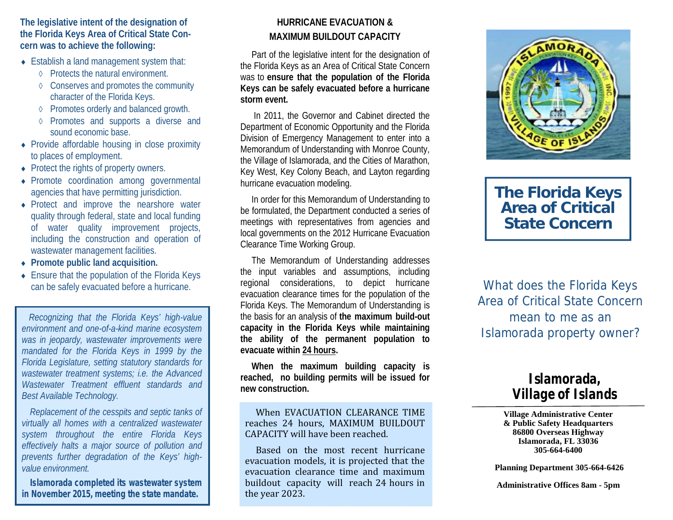**The legislative intent of the designation of the Florida Keys Area of Critical State Concern was to achieve the following:**

- **Establish a land management system that:** 
	- Protects the natural environment.
	- $\Diamond$  Conserves and promotes the community character of the Florida Keys.
	- ♦ Promotes orderly and balanced growth.
	- Promotes and supports a diverse and sound economic base.
- Provide affordable housing in close proximity to places of employment.
- Protect the rights of property owners.
- Promote coordination among governmental agencies that have permitting jurisdiction.
- Protect and improve the nearshore water quality through federal, state and local funding of water quality improvement projects, including the construction and operation of wastewater management facilities.
- **Promote public land acquisition.**
- ◆ Ensure that the population of the Florida Keys can be safely evacuated before a hurricane.

*Recognizing that the Florida Keys' high-value environment and one-of-a-kind marine ecosystem was in jeopardy, wastewater improvements were mandated for the Florida Keys in 1999 by the Florida Legislature, setting statutory standards for wastewater treatment systems; i.e. the Advanced Wastewater Treatment effluent standards and Best Available Technology.*

*Replacement of the cesspits and septic tanks of virtually all homes with a centralized wastewater system throughout the entire Florida Keys effectively halts a major source of pollution and prevents further degradation of the Keys' high value environment.*

*Islamorada completed its wastewater system in November 2015, meeting the state mandate.*

### **HURRICANE EVACUATION & MAXIMUM BUILDOUT CAPACITY**

Part of the legislative intent for the designation of the Florida Keys as an Area of Critical State Concern was to **ensure that the population of the Florida Keys can be safely evacuated before a hurricane storm event.**

In 2011, the Governor and Cabinet directed the Department of Economic Opportunity and the Florida Division of Emergency Management to enter into a Memorandum of Understanding with Monroe County, the Village of Islamorada, and the Cities of Marathon, Key West, Key Colony Beach, and Layton regarding hurricane evacuation modeling.

In order for this Memorandum of Understanding to be formulated, the Department conducted a series of meetings with representatives from agencies and local governments on the 2012 Hurricane Evacuation Clearance Time Working Group.

The Memorandum of Understanding addresses the input variables and assumptions, including regional considerations, to depict hurricane evacuation clearance times for the population of the Florida Keys. The Memorandum of Understanding is the basis for an analysis of **the maximum build-out capacity in the Florida Keys while maintaining the ability of the permanent population to evacuate within 24 hours.**

**When the maximum building capacity is reached, no building permits will be issued for new construction.**

# eached, no building permits will be issued for<br>ew construction.<br>When EVACUATION CLEARANCE TIME<br>reaches 24 hours, MAXIMUM BUILDOUT<br>CAPACITY will have been reached.<br>Based, on the most recent burricane ew construction.<br>
When EVACUATION CLEARANCE TIME<br>
reaches 24 hours, MAXIMUM BUILDOUT<br>
CAPACITY will have been reached.<br>
Based on the most recent hurricane<br>
evacuation models it is projected that the CAPACITY will have been reached.

When EVACUATION CLEARANCE TIME<br>reaches 24 hours, MAXIMUM BUILDOUT<br>CAPACITY will have been reached.<br>Based on the most recent hurricane<br>evacuation models, it is projected that the<br>evacuation clearance time and maximum<br>buildo reaches 24 hours, MAXIMUM BUILDOUT<br>CAPACITY will have been reached.<br>Based on the most recent hurricane<br>evacuation models, it is projected that the<br>evacuation clearance time and maximum<br>buildout capacity will reach 24 hours CAPACITY will have been reached.<br>Based on the most recent hurricane<br>evacuation models, it is projected that the<br>evacuation clearance time and maximum<br>buildout capacity will reach 24 hours in<br>the year 2023. buildout capacity will reach 24 hours in the year 2023.



## **The Florida Keys Area of Critical State Concern**

What does the Florida Keys Area of Critical State Concern mean to me as an Islamorada property owner?

## *Islamorada, Village of Islands*

#### **Village Administrative Center & Public Safety Headquarters 86800 Overseas Highway Islamorada, FL 33036 305-664-6400**

**Planning Department 305-664-6426**

**Administrative Offices 8am - 5pm**